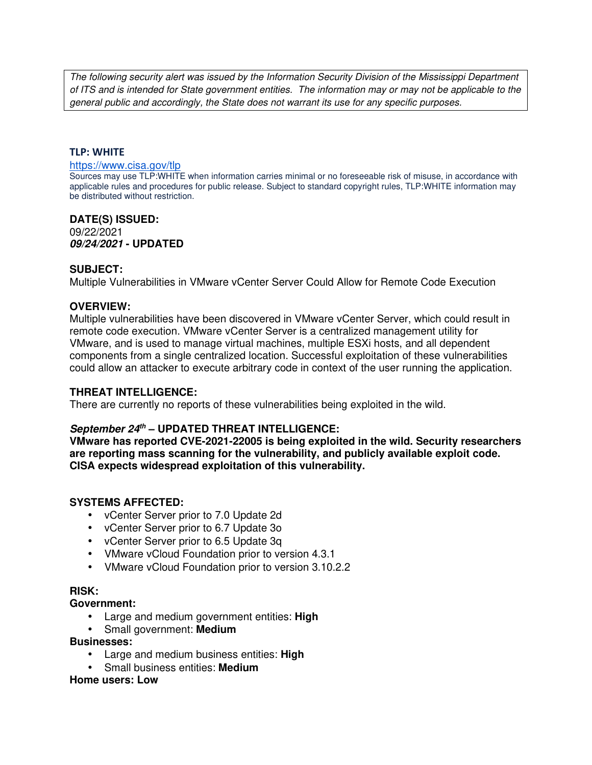The following security alert was issued by the Information Security Division of the Mississippi Department of ITS and is intended for State government entities. The information may or may not be applicable to the general public and accordingly, the State does not warrant its use for any specific purposes.

#### **TLP: WHITE**

#### https://www.cisa.gov/tlp

Sources may use TLP:WHITE when information carries minimal or no foreseeable risk of misuse, in accordance with applicable rules and procedures for public release. Subject to standard copyright rules, TLP:WHITE information may be distributed without restriction.

#### **DATE(S) ISSUED:** 09/22/2021 **09/24/2021 - UPDATED**

### **SUBJECT:**

Multiple Vulnerabilities in VMware vCenter Server Could Allow for Remote Code Execution

### **OVERVIEW:**

Multiple vulnerabilities have been discovered in VMware vCenter Server, which could result in remote code execution. VMware vCenter Server is a centralized management utility for VMware, and is used to manage virtual machines, multiple ESXi hosts, and all dependent components from a single centralized location. Successful exploitation of these vulnerabilities could allow an attacker to execute arbitrary code in context of the user running the application.

## **THREAT INTELLIGENCE:**

There are currently no reports of these vulnerabilities being exploited in the wild.

#### **September 24th – UPDATED THREAT INTELLIGENCE:**

**VMware has reported CVE-2021-22005 is being exploited in the wild. Security researchers are reporting mass scanning for the vulnerability, and publicly available exploit code. CISA expects widespread exploitation of this vulnerability.**

### **SYSTEMS AFFECTED:**

- vCenter Server prior to 7.0 Update 2d
- vCenter Server prior to 6.7 Update 3o
- vCenter Server prior to 6.5 Update 3q
- VMware vCloud Foundation prior to version 4.3.1
- VMware vCloud Foundation prior to version 3.10.2.2

#### **RISK:**

#### **Government:**

- Large and medium government entities: **High**
- Small government: **Medium**

#### **Businesses:**

- Large and medium business entities: **High**
- Small business entities: **Medium**

### **Home users: Low**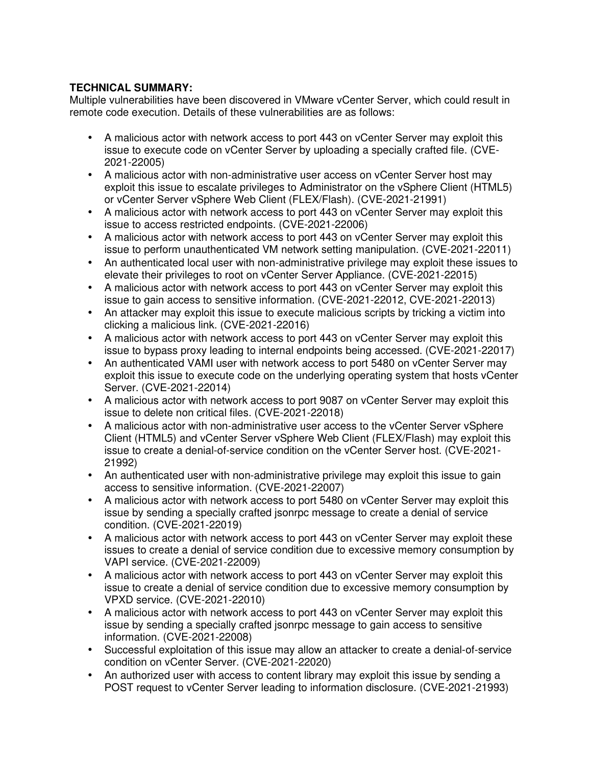## **TECHNICAL SUMMARY:**

Multiple vulnerabilities have been discovered in VMware vCenter Server, which could result in remote code execution. Details of these vulnerabilities are as follows:

- A malicious actor with network access to port 443 on vCenter Server may exploit this issue to execute code on vCenter Server by uploading a specially crafted file. (CVE-2021-22005)
- A malicious actor with non-administrative user access on vCenter Server host may exploit this issue to escalate privileges to Administrator on the vSphere Client (HTML5) or vCenter Server vSphere Web Client (FLEX/Flash). (CVE-2021-21991)
- A malicious actor with network access to port 443 on vCenter Server may exploit this issue to access restricted endpoints. (CVE-2021-22006)
- A malicious actor with network access to port 443 on vCenter Server may exploit this issue to perform unauthenticated VM network setting manipulation. (CVE-2021-22011)
- An authenticated local user with non-administrative privilege may exploit these issues to elevate their privileges to root on vCenter Server Appliance. (CVE-2021-22015)
- A malicious actor with network access to port 443 on vCenter Server may exploit this issue to gain access to sensitive information. (CVE-2021-22012, CVE-2021-22013)
- An attacker may exploit this issue to execute malicious scripts by tricking a victim into clicking a malicious link. (CVE-2021-22016)
- A malicious actor with network access to port 443 on vCenter Server may exploit this issue to bypass proxy leading to internal endpoints being accessed. (CVE-2021-22017)
- An authenticated VAMI user with network access to port 5480 on vCenter Server may exploit this issue to execute code on the underlying operating system that hosts vCenter Server. (CVE-2021-22014)
- A malicious actor with network access to port 9087 on vCenter Server may exploit this issue to delete non critical files. (CVE-2021-22018)
- A malicious actor with non-administrative user access to the vCenter Server vSphere Client (HTML5) and vCenter Server vSphere Web Client (FLEX/Flash) may exploit this issue to create a denial-of-service condition on the vCenter Server host. (CVE-2021- 21992)
- An authenticated user with non-administrative privilege may exploit this issue to gain access to sensitive information. (CVE-2021-22007)
- A malicious actor with network access to port 5480 on vCenter Server may exploit this issue by sending a specially crafted jsonrpc message to create a denial of service condition. (CVE-2021-22019)
- A malicious actor with network access to port 443 on vCenter Server may exploit these issues to create a denial of service condition due to excessive memory consumption by VAPI service. (CVE-2021-22009)
- A malicious actor with network access to port 443 on vCenter Server may exploit this issue to create a denial of service condition due to excessive memory consumption by VPXD service. (CVE-2021-22010)
- A malicious actor with network access to port 443 on vCenter Server may exploit this issue by sending a specially crafted jsonrpc message to gain access to sensitive information. (CVE-2021-22008)
- Successful exploitation of this issue may allow an attacker to create a denial-of-service condition on vCenter Server. (CVE-2021-22020)
- An authorized user with access to content library may exploit this issue by sending a POST request to vCenter Server leading to information disclosure. (CVE-2021-21993)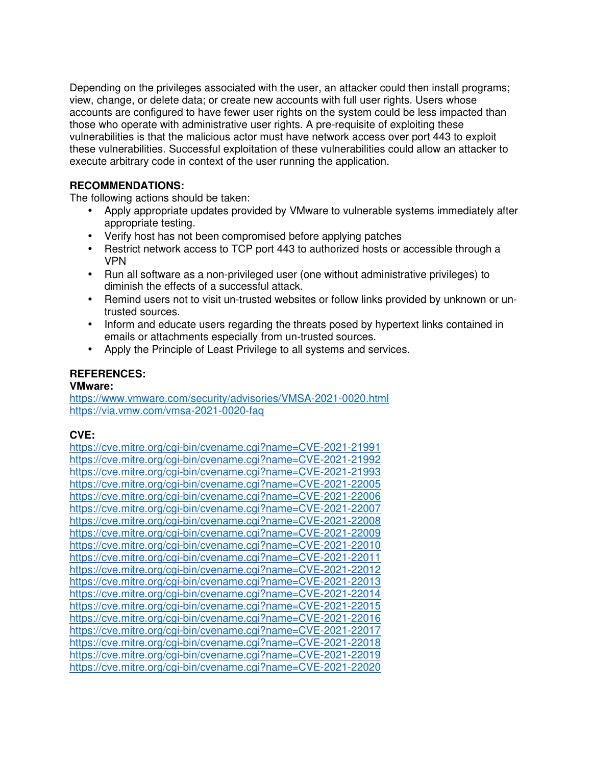Depending on the privileges associated with the user, an attacker could then install programs; view, change, or delete data; or create new accounts with full user rights. Users whose accounts are configured to have fewer user rights on the system could be less impacted than those who operate with administrative user rights. A pre-requisite of exploiting these vulnerabilities is that the malicious actor must have network access over port 443 to exploit these vulnerabilities. Successful exploitation of these vulnerabilities could allow an attacker to execute arbitrary code in context of the user running the application.

## **RECOMMENDATIONS:**

The following actions should be taken:

- Apply appropriate updates provided by VMware to vulnerable systems immediately after appropriate testing.
- Verify host has not been compromised before applying patches
- Restrict network access to TCP port 443 to authorized hosts or accessible through a VPN
- Run all software as a non-privileged user (one without administrative privileges) to diminish the effects of a successful attack.
- Remind users not to visit un-trusted websites or follow links provided by unknown or untrusted sources.
- Inform and educate users regarding the threats posed by hypertext links contained in emails or attachments especially from un-trusted sources.
- Apply the Principle of Least Privilege to all systems and services.

## **REFERENCES:**

## **VMware:**

https://www.vmware.com/security/advisories/VMSA-2021-0020.html https://via.vmw.com/vmsa-2021-0020-faq

## **CVE:**

https://cve.mitre.org/cgi-bin/cvename.cgi?name=CVE-2021-21991 https://cve.mitre.org/cgi-bin/cvename.cgi?name=CVE-2021-21992 https://cve.mitre.org/cgi-bin/cvename.cgi?name=CVE-2021-21993 https://cve.mitre.org/cgi-bin/cvename.cgi?name=CVE-2021-22005 https://cve.mitre.org/cgi-bin/cvename.cgi?name=CVE-2021-22006 https://cve.mitre.org/cgi-bin/cvename.cgi?name=CVE-2021-22007 https://cve.mitre.org/cgi-bin/cvename.cgi?name=CVE-2021-22008 https://cve.mitre.org/cgi-bin/cvename.cgi?name=CVE-2021-22009 https://cve.mitre.org/cgi-bin/cvename.cgi?name=CVE-2021-22010 https://cve.mitre.org/cgi-bin/cvename.cgi?name=CVE-2021-22011 https://cve.mitre.org/cgi-bin/cvename.cgi?name=CVE-2021-22012 https://cve.mitre.org/cgi-bin/cvename.cgi?name=CVE-2021-22013 https://cve.mitre.org/cgi-bin/cvename.cgi?name=CVE-2021-22014 https://cve.mitre.org/cgi-bin/cvename.cgi?name=CVE-2021-22015 https://cve.mitre.org/cgi-bin/cvename.cgi?name=CVE-2021-22016 https://cve.mitre.org/cgi-bin/cvename.cgi?name=CVE-2021-22017 https://cve.mitre.org/cgi-bin/cvename.cgi?name=CVE-2021-22018 https://cve.mitre.org/cgi-bin/cvename.cgi?name=CVE-2021-22019 https://cve.mitre.org/cgi-bin/cvename.cgi?name=CVE-2021-22020